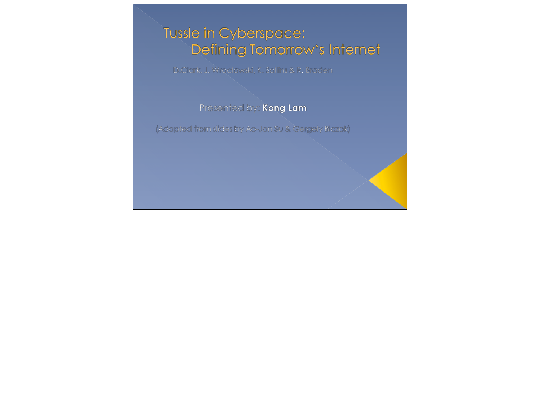### Tussle in Cyberspace: Defining Tomorrow's Internet

D.Clark, J. Wroclawski, K. Sollins & R. Braden

### Presented by: Kong Lam

(Adapted from slides by Ao-Jan Su & Gergely Biczok)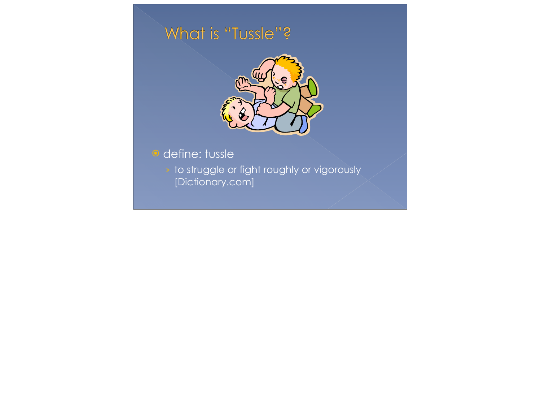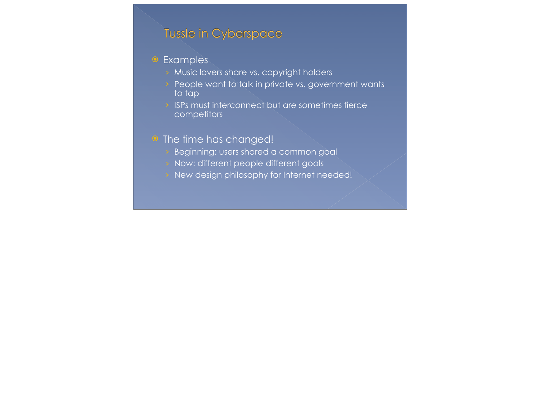### Tussle in Cyberspace

### **•** Examples

- › Music lovers share vs. copyright holders
- **•** People want to talk in private vs. government wants to tap
- › ISPs must interconnect but are sometimes fierce **competitors**

### • The time has changed!

- › Beginning: users shared a common goal
- › Now: different people different goals
- › New design philosophy for Internet needed!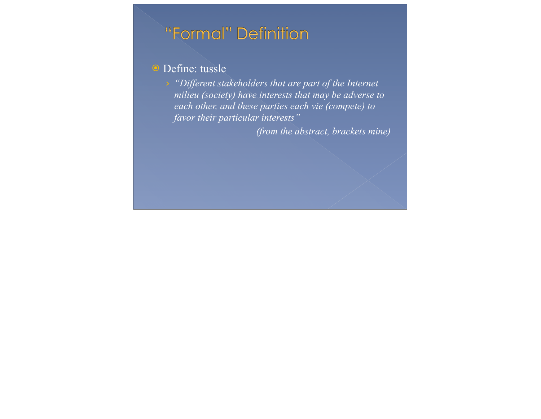## "Formal" Definition

### **O** Define: tussle

› *"Different stakeholders that are part of the Internet milieu (society) have interests that may be adverse to each other, and these parties each vie (compete) to favor their particular interests"*

*(from the abstract, brackets mine)*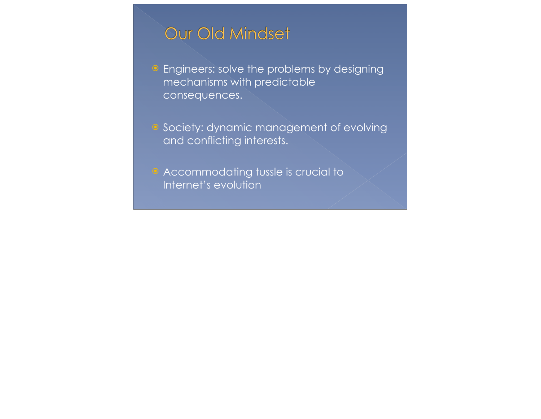# Our Old Mindset

**•** Engineers: solve the problems by designing mechanisms with predictable consequences.

**•** Society: dynamic management of evolving and conflicting interests.

 Accommodating tussle is crucial to Internet's evolution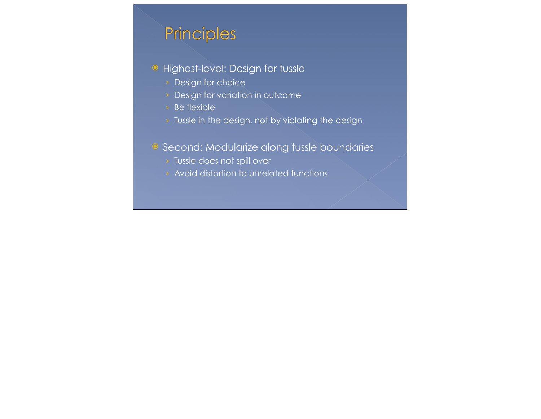# Principles

- Highest-level: Design for tussle
	- › Design for choice
	- › Design for variation in outcome
	- › Be flexible
	- > Tussle in the design, not by violating the design

### <sup>o</sup> Second: Modularize along tussle boundaries

- › Tussle does not spill over
- › Avoid distortion to unrelated functions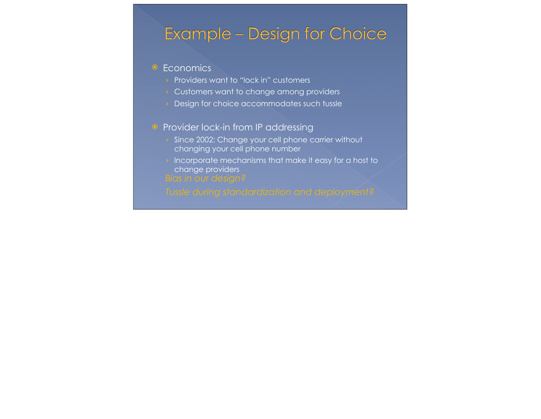### **Example - Design for Choice**

#### • Economics

- › Providers want to "lock in" customers
- › Customers want to change among providers
- **>** Design for choice accommodates such tussle

### **•** Provider lock-in from IP addressing

- Since 2002: Change your cell phone carrier without changing your cell phone number
- $\rightarrow$  Incorporate mechanisms that make it easy for a host to change providers
-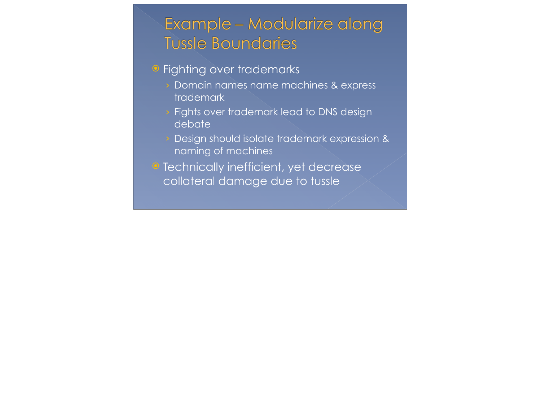# Example - Modularize along **Tussle Boundaries**

### • Fighting over trademarks

- › Domain names name machines & express trademark
- Fights over trademark lead to DNS design debate
- › Design should isolate trademark expression & naming of machines
- Technically inefficient, yet decrease collateral damage due to tussle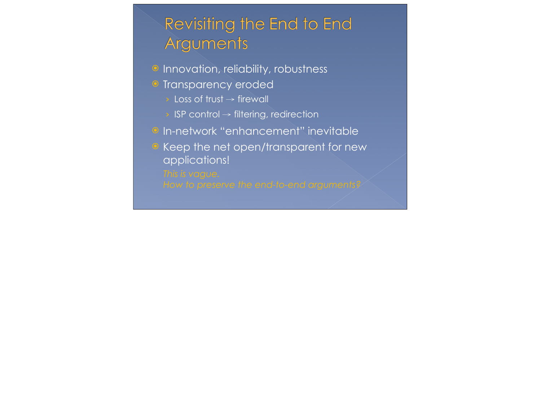# Revisiting the End to End Arguments

- <sup>o</sup> Innovation, reliability, robustness
- **Transparency eroded** 
	- $\rightarrow$  Loss of trust  $\rightarrow$  firewall
	- › ISP control → filtering, redirection
- **O** In-network "enhancement" inevitable
- Keep the net open/transparent for new applications!